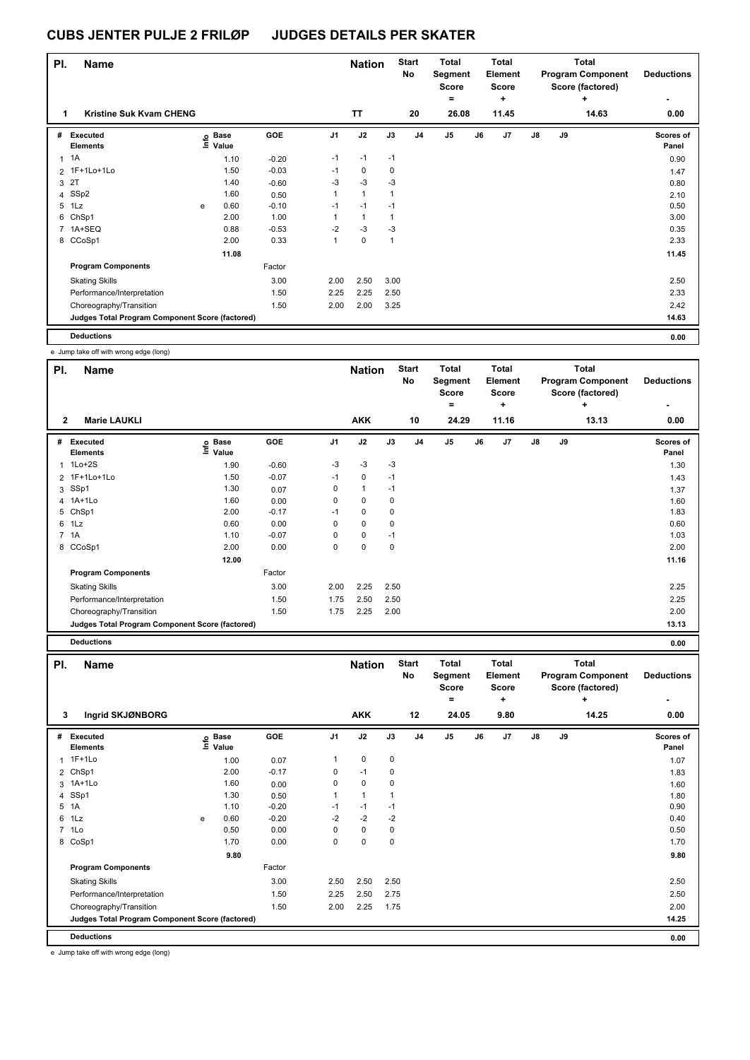| PI. | <b>Name</b>                                     |   |                   |         |                | <b>Nation</b> |              | <b>Start</b><br>No | <b>Total</b><br>Segment<br>Score |    | <b>Total</b><br>Element<br><b>Score</b><br>÷ |               |    | Total<br><b>Program Component</b><br>Score (factored) | <b>Deductions</b>  |
|-----|-------------------------------------------------|---|-------------------|---------|----------------|---------------|--------------|--------------------|----------------------------------|----|----------------------------------------------|---------------|----|-------------------------------------------------------|--------------------|
| 1   | Kristine Suk Kvam CHENG                         |   |                   |         |                | <b>TT</b>     |              | 20                 | =<br>26.08                       |    | 11.45                                        |               |    | $\ddot{}$<br>14.63                                    | 0.00               |
| #   | Executed<br><b>Elements</b>                     |   | e Base<br>⊑ Value | GOE     | J <sub>1</sub> | J2            | J3           | J <sub>4</sub>     | J5                               | J6 | J7                                           | $\mathsf{J}8$ | J9 |                                                       | Scores of<br>Panel |
| 1   | 1A                                              |   | 1.10              | $-0.20$ | $-1$           | $-1$          | $-1$         |                    |                                  |    |                                              |               |    |                                                       | 0.90               |
|     | 2 1F+1Lo+1Lo                                    |   | 1.50              | $-0.03$ | $-1$           | $\mathbf 0$   | 0            |                    |                                  |    |                                              |               |    |                                                       | 1.47               |
| 3   | 2T                                              |   | 1.40              | $-0.60$ | $-3$           | $-3$          | $-3$         |                    |                                  |    |                                              |               |    |                                                       | 0.80               |
|     | 4 SSp2                                          |   | 1.60              | 0.50    | 1              | $\mathbf{1}$  | 1            |                    |                                  |    |                                              |               |    |                                                       | 2.10               |
| 5   | 1Lz                                             | e | 0.60              | $-0.10$ | $-1$           | $-1$          | $-1$         |                    |                                  |    |                                              |               |    |                                                       | 0.50               |
| 6   | ChSp1                                           |   | 2.00              | 1.00    | 1              | $\mathbf{1}$  | $\mathbf{1}$ |                    |                                  |    |                                              |               |    |                                                       | 3.00               |
| 7   | 1A+SEQ                                          |   | 0.88              | $-0.53$ | $-2$           | $-3$          | $-3$         |                    |                                  |    |                                              |               |    |                                                       | 0.35               |
|     | 8 CCoSp1                                        |   | 2.00              | 0.33    | 1              | $\mathbf 0$   | 1            |                    |                                  |    |                                              |               |    |                                                       | 2.33               |
|     |                                                 |   | 11.08             |         |                |               |              |                    |                                  |    |                                              |               |    |                                                       | 11.45              |
|     | <b>Program Components</b>                       |   |                   | Factor  |                |               |              |                    |                                  |    |                                              |               |    |                                                       |                    |
|     | <b>Skating Skills</b>                           |   |                   | 3.00    | 2.00           | 2.50          | 3.00         |                    |                                  |    |                                              |               |    |                                                       | 2.50               |
|     | Performance/Interpretation                      |   |                   | 1.50    | 2.25           | 2.25          | 2.50         |                    |                                  |    |                                              |               |    |                                                       | 2.33               |
|     | Choreography/Transition                         |   |                   | 1.50    | 2.00           | 2.00          | 3.25         |                    |                                  |    |                                              |               |    |                                                       | 2.42               |
|     | Judges Total Program Component Score (factored) |   |                   |         |                |               |              |                    |                                  |    |                                              |               |    |                                                       | 14.63              |
|     | <b>Deductions</b>                               |   |                   |         |                |               |              |                    |                                  |    |                                              |               |    |                                                       | 0.00               |

e Jump take off with wrong edge (long)

| PI.            | <b>Name</b>                                     |                            |         |                | <b>Nation</b> |      | <b>Start</b><br>No | Total<br>Segment<br><b>Score</b><br>= |    | Total<br>Element<br><b>Score</b><br>٠ |               |    | <b>Total</b><br><b>Program Component</b><br>Score (factored)<br>÷ | <b>Deductions</b>  |
|----------------|-------------------------------------------------|----------------------------|---------|----------------|---------------|------|--------------------|---------------------------------------|----|---------------------------------------|---------------|----|-------------------------------------------------------------------|--------------------|
| $\overline{2}$ | <b>Marie LAUKLI</b>                             |                            |         |                | <b>AKK</b>    |      | 10                 | 24.29                                 |    | 11.16                                 |               |    | 13.13                                                             | 0.00               |
| #              | Executed<br><b>Elements</b>                     | e Base<br>E Value<br>Value | GOE     | J <sub>1</sub> | J2            | J3   | J <sub>4</sub>     | J5                                    | J6 | J7                                    | $\mathsf{J}8$ | J9 |                                                                   | Scores of<br>Panel |
| 1              | $1$ Lo $+2S$                                    | 1.90                       | $-0.60$ | $-3$           | $-3$          | $-3$ |                    |                                       |    |                                       |               |    |                                                                   | 1.30               |
|                | 2 1F+1Lo+1Lo                                    | 1.50                       | $-0.07$ | $-1$           | 0             | $-1$ |                    |                                       |    |                                       |               |    |                                                                   | 1.43               |
|                | 3 SSp1                                          | 1.30                       | 0.07    | 0              | $\mathbf{1}$  | $-1$ |                    |                                       |    |                                       |               |    |                                                                   | 1.37               |
|                | 4 1A+1Lo                                        | 1.60                       | 0.00    | 0              | $\mathbf 0$   | 0    |                    |                                       |    |                                       |               |    |                                                                   | 1.60               |
|                | 5 ChSp1                                         | 2.00                       | $-0.17$ | $-1$           | 0             | 0    |                    |                                       |    |                                       |               |    |                                                                   | 1.83               |
|                | 6 1Lz                                           | 0.60                       | 0.00    | 0              | $\mathbf 0$   | 0    |                    |                                       |    |                                       |               |    |                                                                   | 0.60               |
|                | 7 1A                                            | 1.10                       | $-0.07$ | 0              | 0             | $-1$ |                    |                                       |    |                                       |               |    |                                                                   | 1.03               |
|                | 8 CCoSp1                                        | 2.00                       | 0.00    | 0              | 0             | 0    |                    |                                       |    |                                       |               |    |                                                                   | 2.00               |
|                |                                                 | 12.00                      |         |                |               |      |                    |                                       |    |                                       |               |    |                                                                   | 11.16              |
|                | <b>Program Components</b>                       |                            | Factor  |                |               |      |                    |                                       |    |                                       |               |    |                                                                   |                    |
|                | <b>Skating Skills</b>                           |                            | 3.00    | 2.00           | 2.25          | 2.50 |                    |                                       |    |                                       |               |    |                                                                   | 2.25               |
|                | Performance/Interpretation                      |                            | 1.50    | 1.75           | 2.50          | 2.50 |                    |                                       |    |                                       |               |    |                                                                   | 2.25               |
|                | Choreography/Transition                         |                            | 1.50    | 1.75           | 2.25          | 2.00 |                    |                                       |    |                                       |               |    |                                                                   | 2.00               |
|                | Judges Total Program Component Score (factored) |                            |         |                |               |      |                    |                                       |    |                                       |               |    |                                                                   | 13.13              |
|                | <b>Deductions</b>                               |                            |         |                |               |      |                    |                                       |    |                                       |               |    |                                                                   | 0.00               |

| PI.            | <b>Name</b>                                     |   |                            |            |                | <b>Nation</b>  |      | <b>Start</b><br><b>No</b> | <b>Total</b><br>Segment<br><b>Score</b><br>۰ |    | <b>Total</b><br>Element<br><b>Score</b><br>÷ |               |    | <b>Total</b><br><b>Program Component</b><br>Score (factored)<br>÷ | <b>Deductions</b>  |
|----------------|-------------------------------------------------|---|----------------------------|------------|----------------|----------------|------|---------------------------|----------------------------------------------|----|----------------------------------------------|---------------|----|-------------------------------------------------------------------|--------------------|
| 3              | Ingrid SKJØNBORG                                |   |                            |            |                | <b>AKK</b>     |      | 12                        | 24.05                                        |    | 9.80                                         |               |    | 14.25                                                             | 0.00               |
| #              | Executed<br><b>Elements</b>                     |   | e Base<br>E Value<br>Value | <b>GOE</b> | J <sub>1</sub> | J2             | J3   | J <sub>4</sub>            | J <sub>5</sub>                               | J6 | J <sub>7</sub>                               | $\mathsf{J}8$ | J9 |                                                                   | Scores of<br>Panel |
| $\mathbf{1}$   | $1F+1Lo$                                        |   | 1.00                       | 0.07       | 1              | $\mathbf 0$    | 0    |                           |                                              |    |                                              |               |    |                                                                   | 1.07               |
|                | 2 ChSp1                                         |   | 2.00                       | $-0.17$    | 0              | $-1$           | 0    |                           |                                              |    |                                              |               |    |                                                                   | 1.83               |
| 3              | $1A+1L0$                                        |   | 1.60                       | 0.00       | 0              | 0              | 0    |                           |                                              |    |                                              |               |    |                                                                   | 1.60               |
|                | 4 SSp1                                          |   | 1.30                       | 0.50       | 1              | $\overline{1}$ | -1   |                           |                                              |    |                                              |               |    |                                                                   | 1.80               |
| 5              | 1A                                              |   | 1.10                       | $-0.20$    | $-1$           | $-1$           | $-1$ |                           |                                              |    |                                              |               |    |                                                                   | 0.90               |
| 6              | 1Lz                                             | e | 0.60                       | $-0.20$    | $-2$           | $-2$           | $-2$ |                           |                                              |    |                                              |               |    |                                                                   | 0.40               |
| $\overline{7}$ | 1Lo                                             |   | 0.50                       | 0.00       | 0              | $\mathbf 0$    | 0    |                           |                                              |    |                                              |               |    |                                                                   | 0.50               |
|                | 8 CoSp1                                         |   | 1.70                       | 0.00       | 0              | $\mathbf 0$    | 0    |                           |                                              |    |                                              |               |    |                                                                   | 1.70               |
|                |                                                 |   | 9.80                       |            |                |                |      |                           |                                              |    |                                              |               |    |                                                                   | 9.80               |
|                | <b>Program Components</b>                       |   |                            | Factor     |                |                |      |                           |                                              |    |                                              |               |    |                                                                   |                    |
|                | <b>Skating Skills</b>                           |   |                            | 3.00       | 2.50           | 2.50           | 2.50 |                           |                                              |    |                                              |               |    |                                                                   | 2.50               |
|                | Performance/Interpretation                      |   |                            | 1.50       | 2.25           | 2.50           | 2.75 |                           |                                              |    |                                              |               |    |                                                                   | 2.50               |
|                | Choreography/Transition                         |   |                            | 1.50       | 2.00           | 2.25           | 1.75 |                           |                                              |    |                                              |               |    |                                                                   | 2.00               |
|                | Judges Total Program Component Score (factored) |   |                            |            |                |                |      |                           |                                              |    |                                              |               |    |                                                                   | 14.25              |
|                | <b>Deductions</b>                               |   |                            |            |                |                |      |                           |                                              |    |                                              |               |    |                                                                   | 0.00               |

e Jump take off with wrong edge (long)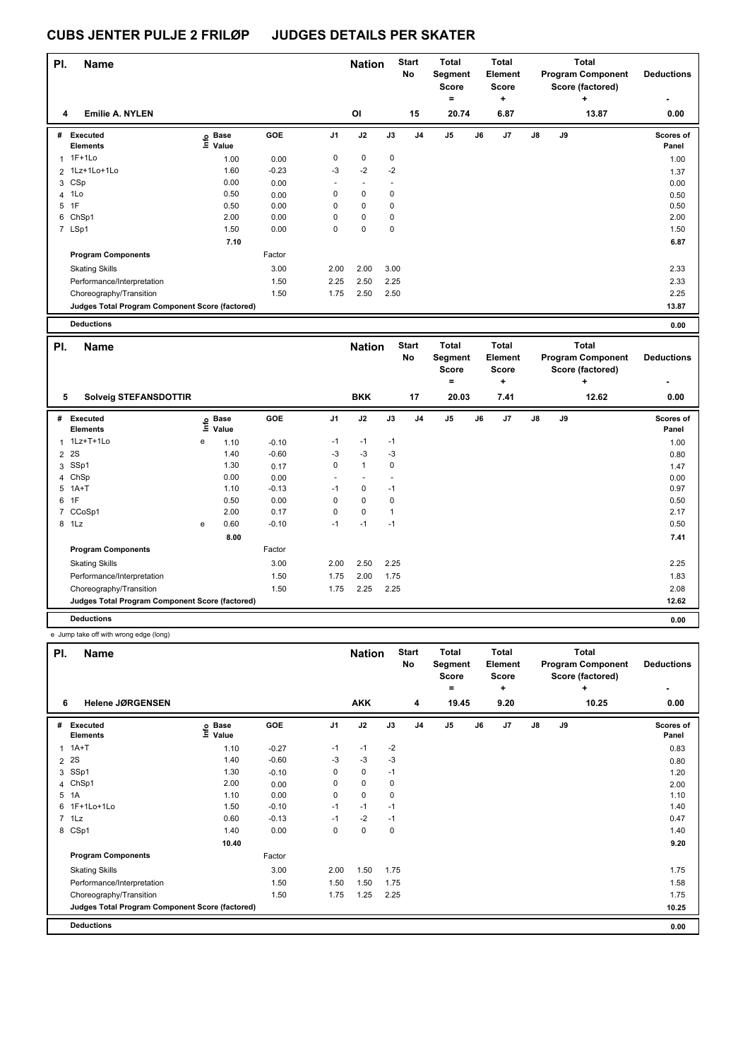| PI.            | Name                                            |                   |                      |         |                | <b>Nation</b>  |                      | <b>Start</b><br>No | <b>Total</b><br>Segment<br><b>Score</b><br>$\equiv$ | <b>Total</b><br>Element<br><b>Score</b><br>$\ddot{}$ |    |    | <b>Total</b><br><b>Program Component</b><br>Score (factored) | <b>Deductions</b>  |
|----------------|-------------------------------------------------|-------------------|----------------------|---------|----------------|----------------|----------------------|--------------------|-----------------------------------------------------|------------------------------------------------------|----|----|--------------------------------------------------------------|--------------------|
| 4              | <b>Emilie A. NYLEN</b>                          |                   |                      |         |                | OI             |                      | 15                 | 20.74                                               | 6.87                                                 |    |    | 13.87                                                        | 0.00               |
|                | # Executed<br>Elements                          | ١nf٥              | <b>Base</b><br>Value | GOE     | J1             | J2             | J3                   | J <sub>4</sub>     | J5                                                  | J6<br>J7                                             | J8 | J9 |                                                              | Scores of<br>Panel |
| $\mathbf{1}$   | $1F+1Lo$                                        |                   | 1.00                 | 0.00    | 0              | $\pmb{0}$      | $\pmb{0}$            |                    |                                                     |                                                      |    |    |                                                              | 1.00               |
|                | 2 1Lz+1Lo+1Lo                                   |                   | 1.60                 | $-0.23$ | -3             | $-2$           | $-2$                 |                    |                                                     |                                                      |    |    |                                                              | 1.37               |
| 3              | CSp                                             |                   | 0.00                 | 0.00    |                | ÷,             | L,                   |                    |                                                     |                                                      |    |    |                                                              | 0.00               |
| 4              | 1Lo                                             |                   | 0.50                 | 0.00    | $\mathbf 0$    | 0              | 0                    |                    |                                                     |                                                      |    |    |                                                              | 0.50               |
|                | 5 1F                                            |                   | 0.50                 | 0.00    | $\mathbf 0$    | 0              | $\mathbf 0$          |                    |                                                     |                                                      |    |    |                                                              | 0.50               |
| 6              | ChSp1                                           |                   | 2.00                 | 0.00    | 0              | $\pmb{0}$      | $\mathbf 0$          |                    |                                                     |                                                      |    |    |                                                              | 2.00               |
|                | 7 LSp1                                          |                   | 1.50                 | 0.00    | $\mathbf 0$    | 0              | $\mathbf 0$          |                    |                                                     |                                                      |    |    |                                                              | 1.50               |
|                |                                                 |                   | 7.10                 |         |                |                |                      |                    |                                                     |                                                      |    |    |                                                              | 6.87               |
|                | <b>Program Components</b>                       |                   |                      | Factor  |                |                |                      |                    |                                                     |                                                      |    |    |                                                              |                    |
|                | <b>Skating Skills</b>                           |                   |                      | 3.00    | 2.00           | 2.00           | 3.00                 |                    |                                                     |                                                      |    |    |                                                              | 2.33               |
|                | Performance/Interpretation                      |                   |                      | 1.50    | 2.25           | 2.50           | 2.25                 |                    |                                                     |                                                      |    |    |                                                              | 2.33               |
|                | Choreography/Transition                         |                   |                      | 1.50    | 1.75           | 2.50           | 2.50                 |                    |                                                     |                                                      |    |    |                                                              | 2.25               |
|                | Judges Total Program Component Score (factored) |                   |                      |         |                |                |                      |                    |                                                     |                                                      |    |    |                                                              | 13.87              |
|                |                                                 |                   |                      |         |                |                |                      |                    |                                                     |                                                      |    |    |                                                              |                    |
|                | <b>Deductions</b>                               |                   |                      |         |                |                |                      |                    |                                                     |                                                      |    |    |                                                              |                    |
|                |                                                 |                   |                      |         |                |                |                      |                    |                                                     |                                                      |    |    |                                                              | 0.00               |
| PI.            | <b>Name</b>                                     |                   |                      |         |                | <b>Nation</b>  |                      | <b>Start</b><br>No | <b>Total</b><br>Segment<br><b>Score</b>             | <b>Total</b><br>Element<br><b>Score</b>              |    |    | <b>Total</b><br><b>Program Component</b><br>Score (factored) | <b>Deductions</b>  |
|                |                                                 |                   |                      |         |                |                |                      |                    | $\equiv$                                            | $\ddot{}$                                            |    |    | +                                                            |                    |
| 5              | <b>Solveig STEFANSDOTTIR</b>                    |                   |                      |         |                | <b>BKK</b>     |                      | 17                 | 20.03                                               | 7.41                                                 |    |    | 12.62                                                        | 0.00               |
|                | # Executed<br>Elements                          | e Base<br>E Value | Value                | GOE     | J1             | J2             | J3                   | J <sub>4</sub>     | J5                                                  | J6<br>J7                                             | J8 | J9 |                                                              | Scores of<br>Panel |
| $\mathbf{1}$   | 1Lz+T+1Lo                                       | е                 | 1.10                 | $-0.10$ | $-1$           | $-1$           | $-1$                 |                    |                                                     |                                                      |    |    |                                                              | 1.00               |
| $\overline{2}$ | 2S                                              |                   | 1.40                 | $-0.60$ | $-3$           | $-3$           | $-3$                 |                    |                                                     |                                                      |    |    |                                                              | 0.80               |
| 3              | SSp1                                            |                   | 1.30                 | 0.17    | $\mathbf 0$    | $\mathbf{1}$   | $\mathbf 0$          |                    |                                                     |                                                      |    |    |                                                              | 1.47               |
| 4              | ChSp                                            |                   | 0.00                 | 0.00    | $\overline{a}$ | $\blacksquare$ | $\ddot{\phantom{1}}$ |                    |                                                     |                                                      |    |    |                                                              | 0.00               |
|                | 5 1A+T                                          |                   | 1.10                 | $-0.13$ | $-1$           | $\pmb{0}$      | $-1$                 |                    |                                                     |                                                      |    |    |                                                              | 0.97               |
| 6              | 1F                                              |                   | 0.50                 | 0.00    | $\mathbf 0$    | $\mathbf 0$    | $\mathbf 0$          |                    |                                                     |                                                      |    |    |                                                              | 0.50               |
| $\overline{7}$ | CCoSp1                                          |                   | 2.00                 | 0.17    | $\mathbf 0$    | $\pmb{0}$      | $\mathbf{1}$         |                    |                                                     |                                                      |    |    |                                                              | 2.17               |
|                | 8 1Lz                                           | e                 | 0.60                 | $-0.10$ | $-1$           | $-1$           | $-1$                 |                    |                                                     |                                                      |    |    |                                                              | 0.50               |
|                |                                                 |                   | 8.00                 |         |                |                |                      |                    |                                                     |                                                      |    |    |                                                              | 7.41               |
|                | <b>Program Components</b>                       |                   |                      | Factor  |                |                |                      |                    |                                                     |                                                      |    |    |                                                              |                    |

**Judges Total Program Component Score (factored) 12.62**

**Deductions 0.00**

e Jump take off with wrong edge (long)

| PI.          | <b>Name</b>                                     |                       |         |                | <b>Nation</b> |          | <b>Start</b><br>No | Total<br>Segment<br><b>Score</b><br>۰ |    | Total<br><b>Element</b><br><b>Score</b><br>÷ |               |    | Total<br><b>Program Component</b><br>Score (factored)<br>٠ | <b>Deductions</b>  |
|--------------|-------------------------------------------------|-----------------------|---------|----------------|---------------|----------|--------------------|---------------------------------------|----|----------------------------------------------|---------------|----|------------------------------------------------------------|--------------------|
| 6            | <b>Helene JØRGENSEN</b>                         |                       |         |                | <b>AKK</b>    |          | 4                  | 19.45                                 |    | 9.20                                         |               |    | 10.25                                                      | 0.00               |
| #            | Executed<br><b>Elements</b>                     | Base<br>lnfo<br>Value | GOE     | J <sub>1</sub> | J2            | J3       | J <sub>4</sub>     | J <sub>5</sub>                        | J6 | J7                                           | $\mathsf{J}8$ | J9 |                                                            | Scores of<br>Panel |
| $\mathbf{1}$ | $1A+T$                                          | 1.10                  | $-0.27$ | $-1$           | $-1$          | $-2$     |                    |                                       |    |                                              |               |    |                                                            | 0.83               |
|              | 2 2 S                                           | 1.40                  | $-0.60$ | -3             | $-3$          | $-3$     |                    |                                       |    |                                              |               |    |                                                            | 0.80               |
|              | 3 SSp1                                          | 1.30                  | $-0.10$ | $\Omega$       | 0             | $-1$     |                    |                                       |    |                                              |               |    |                                                            | 1.20               |
|              | 4 ChSp1                                         | 2.00                  | 0.00    | $\Omega$       | 0             | $\Omega$ |                    |                                       |    |                                              |               |    |                                                            | 2.00               |
|              | 5 1A                                            | 1.10                  | 0.00    | $\Omega$       | 0             | $\Omega$ |                    |                                       |    |                                              |               |    |                                                            | 1.10               |
|              | 6 1F+1Lo+1Lo                                    | 1.50                  | $-0.10$ | $-1$           | $-1$          | $-1$     |                    |                                       |    |                                              |               |    |                                                            | 1.40               |
|              | $7$ 1 Lz                                        | 0.60                  | $-0.13$ | $-1$           | $-2$          | $-1$     |                    |                                       |    |                                              |               |    |                                                            | 0.47               |
|              | 8 CSp1                                          | 1.40                  | 0.00    | 0              | 0             | 0        |                    |                                       |    |                                              |               |    |                                                            | 1.40               |
|              |                                                 | 10.40                 |         |                |               |          |                    |                                       |    |                                              |               |    |                                                            | 9.20               |
|              | <b>Program Components</b>                       |                       | Factor  |                |               |          |                    |                                       |    |                                              |               |    |                                                            |                    |
|              | <b>Skating Skills</b>                           |                       | 3.00    | 2.00           | 1.50          | 1.75     |                    |                                       |    |                                              |               |    |                                                            | 1.75               |
|              | Performance/Interpretation                      |                       | 1.50    | 1.50           | 1.50          | 1.75     |                    |                                       |    |                                              |               |    |                                                            | 1.58               |
|              | Choreography/Transition                         |                       | 1.50    | 1.75           | 1.25          | 2.25     |                    |                                       |    |                                              |               |    |                                                            | 1.75               |
|              | Judges Total Program Component Score (factored) |                       |         |                |               |          |                    |                                       |    |                                              |               |    |                                                            | 10.25              |
|              | <b>Deductions</b>                               |                       |         |                |               |          |                    |                                       |    |                                              |               |    |                                                            | 0.00               |
|              |                                                 |                       |         |                |               |          |                    |                                       |    |                                              |               |    |                                                            |                    |

Performance/Interpretation 1.83 1.50 1.75 2.00 1.75 2.00 1.75 1.83 Choreography/Transition 1.50 1.75 2.25 2.25 2.08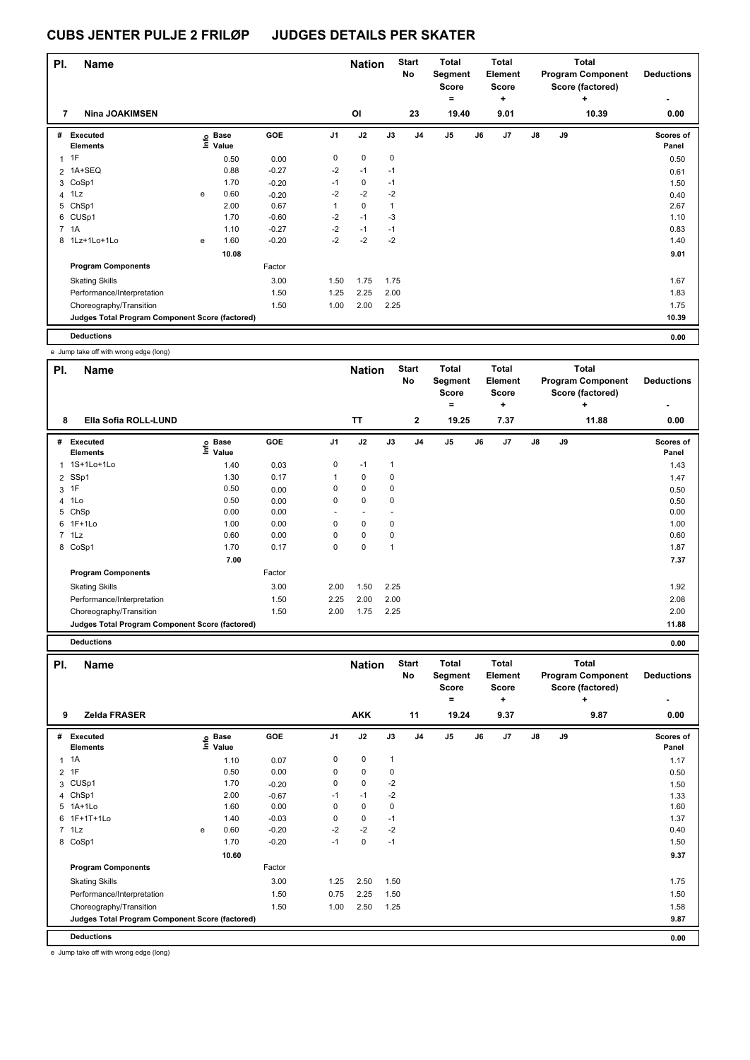| PI.          | <b>Name</b>                                     |   |                            |            |                | <b>Nation</b> |              | <b>Start</b><br><b>No</b> | Total<br>Segment<br><b>Score</b><br>۰ |    | Total<br>Element<br>Score<br>٠ |               |    | <b>Total</b><br><b>Program Component</b><br>Score (factored)<br>٠ | <b>Deductions</b><br>۰    |
|--------------|-------------------------------------------------|---|----------------------------|------------|----------------|---------------|--------------|---------------------------|---------------------------------------|----|--------------------------------|---------------|----|-------------------------------------------------------------------|---------------------------|
| 7            | <b>Nina JOAKIMSEN</b>                           |   |                            |            |                | <b>OI</b>     |              | 23                        | 19.40                                 |    | 9.01                           |               |    | 10.39                                                             | 0.00                      |
| #            | Executed<br><b>Elements</b>                     |   | e Base<br>E Value<br>Value | <b>GOE</b> | J <sub>1</sub> | J2            | J3           | J <sub>4</sub>            | J5                                    | J6 | J <sub>7</sub>                 | $\mathsf{J}8$ | J9 |                                                                   | <b>Scores of</b><br>Panel |
| $\mathbf{1}$ | 1F                                              |   | 0.50                       | 0.00       | 0              | $\mathbf 0$   | 0            |                           |                                       |    |                                |               |    |                                                                   | 0.50                      |
|              | 2 1A+SEQ                                        |   | 0.88                       | $-0.27$    | $-2$           | $-1$          | $-1$         |                           |                                       |    |                                |               |    |                                                                   | 0.61                      |
|              | 3 CoSp1                                         |   | 1.70                       | $-0.20$    | $-1$           | 0             | $-1$         |                           |                                       |    |                                |               |    |                                                                   | 1.50                      |
|              | $4$ 1Lz                                         | e | 0.60                       | $-0.20$    | $-2$           | $-2$          | $-2$         |                           |                                       |    |                                |               |    |                                                                   | 0.40                      |
| 5            | ChSp1                                           |   | 2.00                       | 0.67       | 1              | $\mathbf 0$   | $\mathbf{1}$ |                           |                                       |    |                                |               |    |                                                                   | 2.67                      |
|              | 6 CUSp1                                         |   | 1.70                       | $-0.60$    | $-2$           | $-1$          | $-3$         |                           |                                       |    |                                |               |    |                                                                   | 1.10                      |
|              | 7 1A                                            |   | 1.10                       | $-0.27$    | $-2$           | $-1$          | $-1$         |                           |                                       |    |                                |               |    |                                                                   | 0.83                      |
|              | 8 1Lz+1Lo+1Lo                                   | e | 1.60                       | $-0.20$    | $-2$           | $-2$          | $-2$         |                           |                                       |    |                                |               |    |                                                                   | 1.40                      |
|              |                                                 |   | 10.08                      |            |                |               |              |                           |                                       |    |                                |               |    |                                                                   | 9.01                      |
|              | <b>Program Components</b>                       |   |                            | Factor     |                |               |              |                           |                                       |    |                                |               |    |                                                                   |                           |
|              | <b>Skating Skills</b>                           |   |                            | 3.00       | 1.50           | 1.75          | 1.75         |                           |                                       |    |                                |               |    |                                                                   | 1.67                      |
|              | Performance/Interpretation                      |   |                            | 1.50       | 1.25           | 2.25          | 2.00         |                           |                                       |    |                                |               |    |                                                                   | 1.83                      |
|              | Choreography/Transition                         |   |                            | 1.50       | 1.00           | 2.00          | 2.25         |                           |                                       |    |                                |               |    |                                                                   | 1.75                      |
|              | Judges Total Program Component Score (factored) |   |                            |            |                |               |              |                           |                                       |    |                                |               |    |                                                                   | 10.39                     |
|              | <b>Deductions</b>                               |   |                            |            |                |               |              |                           |                                       |    |                                |               |    |                                                                   | 0.00                      |

e Jump take off with wrong edge (long)

| PI. | <b>Name</b>                                     |                            |            |                | <b>Nation</b> |                | <b>Start</b><br>No | <b>Total</b><br>Segment<br><b>Score</b><br>۰ |    | <b>Total</b><br>Element<br><b>Score</b><br>٠ |               |    | <b>Total</b><br><b>Program Component</b><br>Score (factored)<br>÷ | <b>Deductions</b>  |
|-----|-------------------------------------------------|----------------------------|------------|----------------|---------------|----------------|--------------------|----------------------------------------------|----|----------------------------------------------|---------------|----|-------------------------------------------------------------------|--------------------|
| 8   | Ella Sofia ROLL-LUND                            |                            |            |                | <b>TT</b>     |                | $\mathbf{2}$       | 19.25                                        |    | 7.37                                         |               |    | 11.88                                                             | 0.00               |
| #   | <b>Executed</b><br><b>Elements</b>              | e Base<br>E Value<br>Value | <b>GOE</b> | J <sub>1</sub> | J2            | J3             | J <sub>4</sub>     | J <sub>5</sub>                               | J6 | J7                                           | $\mathsf{J}8$ | J9 |                                                                   | Scores of<br>Panel |
|     | 1 1S+1Lo+1Lo                                    | 1.40                       | 0.03       | 0              | $-1$          | $\overline{1}$ |                    |                                              |    |                                              |               |    |                                                                   | 1.43               |
|     | 2 SSp1                                          | 1.30                       | 0.17       | 1              | $\mathbf 0$   | 0              |                    |                                              |    |                                              |               |    |                                                                   | 1.47               |
|     | 3 1F                                            | 0.50                       | 0.00       | 0              | 0             | 0              |                    |                                              |    |                                              |               |    |                                                                   | 0.50               |
|     | 4 1Lo                                           | 0.50                       | 0.00       | 0              | 0             | 0              |                    |                                              |    |                                              |               |    |                                                                   | 0.50               |
| 5   | ChSp                                            | 0.00                       | 0.00       | ٠              |               |                |                    |                                              |    |                                              |               |    |                                                                   | 0.00               |
| 6   | $1F+1Lo$                                        | 1.00                       | 0.00       | 0              | $\mathbf 0$   | 0              |                    |                                              |    |                                              |               |    |                                                                   | 1.00               |
|     | 7 1Lz                                           | 0.60                       | 0.00       | 0              | $\mathbf 0$   | 0              |                    |                                              |    |                                              |               |    |                                                                   | 0.60               |
|     | 8 CoSp1                                         | 1.70                       | 0.17       | 0              | $\mathbf 0$   | 1              |                    |                                              |    |                                              |               |    |                                                                   | 1.87               |
|     |                                                 | 7.00                       |            |                |               |                |                    |                                              |    |                                              |               |    |                                                                   | 7.37               |
|     | <b>Program Components</b>                       |                            | Factor     |                |               |                |                    |                                              |    |                                              |               |    |                                                                   |                    |
|     | <b>Skating Skills</b>                           |                            | 3.00       | 2.00           | 1.50          | 2.25           |                    |                                              |    |                                              |               |    |                                                                   | 1.92               |
|     | Performance/Interpretation                      |                            | 1.50       | 2.25           | 2.00          | 2.00           |                    |                                              |    |                                              |               |    |                                                                   | 2.08               |
|     | Choreography/Transition                         |                            | 1.50       | 2.00           | 1.75          | 2.25           |                    |                                              |    |                                              |               |    |                                                                   | 2.00               |
|     | Judges Total Program Component Score (factored) |                            |            |                |               |                |                    |                                              |    |                                              |               |    |                                                                   | 11.88              |
|     | <b>Deductions</b>                               |                            |            |                |               |                |                    |                                              |    |                                              |               |    |                                                                   | 0.00               |

| <b>Deductions</b> |  |
|-------------------|--|

| PI.            | <b>Name</b>                                     |   |                   |            |                | <b>Nation</b> |              | <b>Start</b><br>No | <b>Total</b><br>Segment<br><b>Score</b><br>۰ |    | <b>Total</b><br>Element<br><b>Score</b><br>÷ |               |    | <b>Total</b><br><b>Program Component</b><br>Score (factored)<br>÷ | <b>Deductions</b>         |
|----------------|-------------------------------------------------|---|-------------------|------------|----------------|---------------|--------------|--------------------|----------------------------------------------|----|----------------------------------------------|---------------|----|-------------------------------------------------------------------|---------------------------|
| 9              | <b>Zelda FRASER</b>                             |   |                   |            |                | <b>AKK</b>    |              | 11                 | 19.24                                        |    | 9.37                                         |               |    | 9.87                                                              | 0.00                      |
| #              | Executed<br><b>Elements</b>                     |   | e Base<br>E Value | <b>GOE</b> | J <sub>1</sub> | J2            | J3           | J <sub>4</sub>     | J <sub>5</sub>                               | J6 | J7                                           | $\mathsf{J}8$ | J9 |                                                                   | <b>Scores of</b><br>Panel |
| 1              | 1A                                              |   | 1.10              | 0.07       | 0              | $\pmb{0}$     | $\mathbf{1}$ |                    |                                              |    |                                              |               |    |                                                                   | 1.17                      |
| 2              | 1F                                              |   | 0.50              | 0.00       | 0              | $\mathbf 0$   | 0            |                    |                                              |    |                                              |               |    |                                                                   | 0.50                      |
| 3              | CUSp1                                           |   | 1.70              | $-0.20$    | 0              | $\mathbf 0$   | $-2$         |                    |                                              |    |                                              |               |    |                                                                   | 1.50                      |
|                | 4 ChSp1                                         |   | 2.00              | $-0.67$    | $-1$           | $-1$          | $-2$         |                    |                                              |    |                                              |               |    |                                                                   | 1.33                      |
| 5              | $1A+1L0$                                        |   | 1.60              | 0.00       | 0              | $\mathbf 0$   | 0            |                    |                                              |    |                                              |               |    |                                                                   | 1.60                      |
|                | 6 1F+1T+1Lo                                     |   | 1.40              | $-0.03$    | 0              | $\mathbf 0$   | $-1$         |                    |                                              |    |                                              |               |    |                                                                   | 1.37                      |
| $\overline{7}$ | 1Lz                                             | e | 0.60              | $-0.20$    | $-2$           | $-2$          | $-2$         |                    |                                              |    |                                              |               |    |                                                                   | 0.40                      |
|                | 8 CoSp1                                         |   | 1.70              | $-0.20$    | $-1$           | $\mathbf 0$   | $-1$         |                    |                                              |    |                                              |               |    |                                                                   | 1.50                      |
|                |                                                 |   | 10.60             |            |                |               |              |                    |                                              |    |                                              |               |    |                                                                   | 9.37                      |
|                | <b>Program Components</b>                       |   |                   | Factor     |                |               |              |                    |                                              |    |                                              |               |    |                                                                   |                           |
|                | <b>Skating Skills</b>                           |   |                   | 3.00       | 1.25           | 2.50          | 1.50         |                    |                                              |    |                                              |               |    |                                                                   | 1.75                      |
|                | Performance/Interpretation                      |   |                   | 1.50       | 0.75           | 2.25          | 1.50         |                    |                                              |    |                                              |               |    |                                                                   | 1.50                      |
|                | Choreography/Transition                         |   |                   | 1.50       | 1.00           | 2.50          | 1.25         |                    |                                              |    |                                              |               |    |                                                                   | 1.58                      |
|                | Judges Total Program Component Score (factored) |   |                   |            |                |               |              |                    |                                              |    |                                              |               |    |                                                                   | 9.87                      |
|                | <b>Deductions</b>                               |   |                   |            |                |               |              |                    |                                              |    |                                              |               |    |                                                                   | 0.00                      |

e Jump take off with wrong edge (long)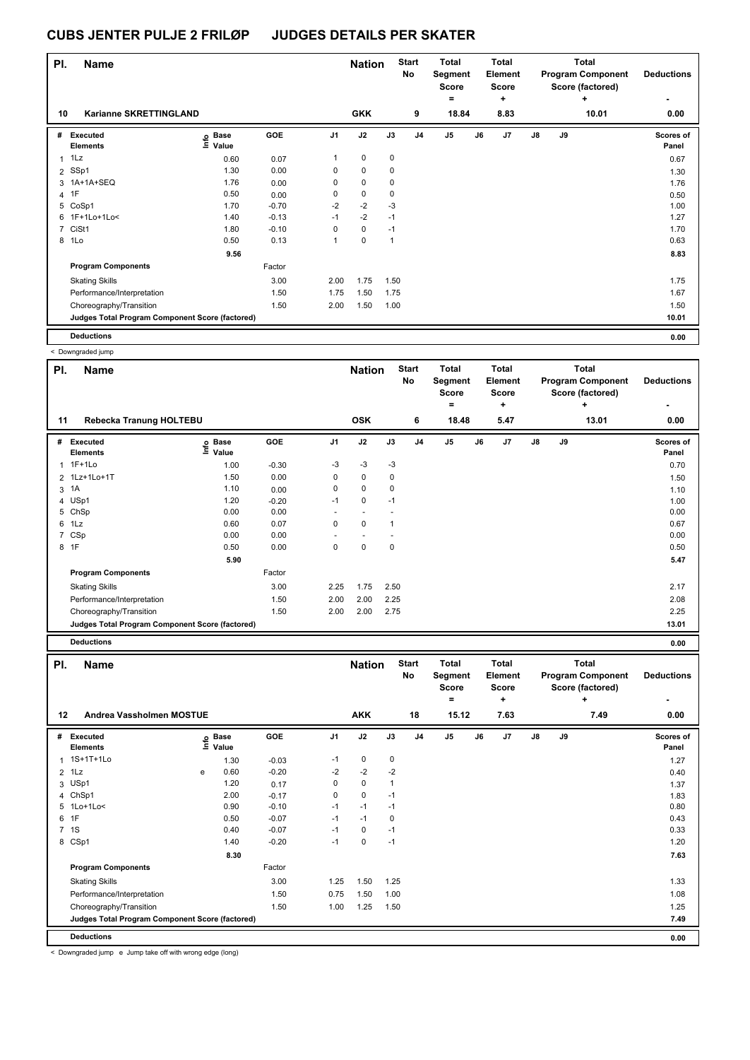| PI.            | <b>Name</b>                                     |                            |            |                | <b>Nation</b> |      | <b>Start</b><br>No | Total<br>Segment<br><b>Score</b><br>۰ |    | <b>Total</b><br>Element<br><b>Score</b><br>÷ |               |    | <b>Total</b><br><b>Program Component</b><br>Score (factored)<br>÷ | <b>Deductions</b>  |
|----------------|-------------------------------------------------|----------------------------|------------|----------------|---------------|------|--------------------|---------------------------------------|----|----------------------------------------------|---------------|----|-------------------------------------------------------------------|--------------------|
| 10             | Karianne SKRETTINGLAND                          |                            |            |                | <b>GKK</b>    |      | 9                  | 18.84                                 |    | 8.83                                         |               |    | 10.01                                                             | 0.00               |
| #              | Executed<br><b>Elements</b>                     | e Base<br>E Value<br>Value | <b>GOE</b> | J <sub>1</sub> | J2            | J3   | J <sub>4</sub>     | J <sub>5</sub>                        | J6 | J7                                           | $\mathsf{J}8$ | J9 |                                                                   | Scores of<br>Panel |
| $\mathbf{1}$   | 1Lz                                             | 0.60                       | 0.07       | 1              | $\mathbf 0$   | 0    |                    |                                       |    |                                              |               |    |                                                                   | 0.67               |
|                | 2 SSp1                                          | 1.30                       | 0.00       | 0              | $\mathbf 0$   | 0    |                    |                                       |    |                                              |               |    |                                                                   | 1.30               |
|                | 3 1A+1A+SEQ                                     | 1.76                       | 0.00       | 0              | 0             | 0    |                    |                                       |    |                                              |               |    |                                                                   | 1.76               |
| $\overline{4}$ | 1F                                              | 0.50                       | 0.00       | 0              | $\mathbf 0$   | 0    |                    |                                       |    |                                              |               |    |                                                                   | 0.50               |
| 5              | CoSp1                                           | 1.70                       | $-0.70$    | $-2$           | $-2$          | $-3$ |                    |                                       |    |                                              |               |    |                                                                   | 1.00               |
| 6              | 1F+1Lo+1Lo<                                     | 1.40                       | $-0.13$    | $-1$           | $-2$          | $-1$ |                    |                                       |    |                                              |               |    |                                                                   | 1.27               |
| $\overline{7}$ | CiSt1                                           | 1.80                       | $-0.10$    | 0              | $\mathbf 0$   | $-1$ |                    |                                       |    |                                              |               |    |                                                                   | 1.70               |
| 8              | 1Lo                                             | 0.50                       | 0.13       | 1              | $\mathbf 0$   | 1    |                    |                                       |    |                                              |               |    |                                                                   | 0.63               |
|                |                                                 | 9.56                       |            |                |               |      |                    |                                       |    |                                              |               |    |                                                                   | 8.83               |
|                | <b>Program Components</b>                       |                            | Factor     |                |               |      |                    |                                       |    |                                              |               |    |                                                                   |                    |
|                | <b>Skating Skills</b>                           |                            | 3.00       | 2.00           | 1.75          | 1.50 |                    |                                       |    |                                              |               |    |                                                                   | 1.75               |
|                | Performance/Interpretation                      |                            | 1.50       | 1.75           | 1.50          | 1.75 |                    |                                       |    |                                              |               |    |                                                                   | 1.67               |
|                | Choreography/Transition                         |                            | 1.50       | 2.00           | 1.50          | 1.00 |                    |                                       |    |                                              |               |    |                                                                   | 1.50               |
|                | Judges Total Program Component Score (factored) |                            |            |                |               |      |                    |                                       |    |                                              |               |    |                                                                   | 10.01              |
|                | <b>Deductions</b>                               |                            |            |                |               |      |                    |                                       |    |                                              |               |    |                                                                   | 0.00               |

< Downgraded jump

| PI.            | <b>Name</b>                                     |                            |            |             | <b>Nation</b> |             | <b>Start</b><br>No | Total<br>Segment<br><b>Score</b><br>۰ |    | <b>Total</b><br>Element<br><b>Score</b><br>٠ |               |    | <b>Total</b><br><b>Program Component</b><br>Score (factored)<br>٠ | <b>Deductions</b>         |
|----------------|-------------------------------------------------|----------------------------|------------|-------------|---------------|-------------|--------------------|---------------------------------------|----|----------------------------------------------|---------------|----|-------------------------------------------------------------------|---------------------------|
| 11             | Rebecka Tranung HOLTEBU                         |                            |            |             | <b>OSK</b>    |             | 6                  | 18.48                                 |    | 5.47                                         |               |    | 13.01                                                             | 0.00                      |
| #              | <b>Executed</b><br><b>Elements</b>              | e Base<br>E Value<br>Value | <b>GOE</b> | J1          | J2            | J3          | J <sub>4</sub>     | J <sub>5</sub>                        | J6 | J <sub>7</sub>                               | $\mathsf{J}8$ | J9 |                                                                   | <b>Scores of</b><br>Panel |
|                | $1F+1Lo$                                        | 1.00                       | $-0.30$    | $-3$        | $-3$          | $-3$        |                    |                                       |    |                                              |               |    |                                                                   | 0.70                      |
|                | 2 1Lz+1Lo+1T                                    | 1.50                       | 0.00       | 0           | $\mathbf 0$   | 0           |                    |                                       |    |                                              |               |    |                                                                   | 1.50                      |
| 3              | 1A                                              | 1.10                       | 0.00       | 0           | 0             | 0           |                    |                                       |    |                                              |               |    |                                                                   | 1.10                      |
|                | 4 USp1                                          | 1.20                       | $-0.20$    | $-1$        | $\mathbf 0$   | $-1$        |                    |                                       |    |                                              |               |    |                                                                   | 1.00                      |
| 5              | ChSp                                            | 0.00                       | 0.00       | ٠           |               |             |                    |                                       |    |                                              |               |    |                                                                   | 0.00                      |
|                | 6 1Lz                                           | 0.60                       | 0.07       | 0           | $\mathbf 0$   | 1           |                    |                                       |    |                                              |               |    |                                                                   | 0.67                      |
| $\overline{7}$ | CSp                                             | 0.00                       | 0.00       |             |               |             |                    |                                       |    |                                              |               |    |                                                                   | 0.00                      |
|                | 8 1F                                            | 0.50                       | 0.00       | $\mathbf 0$ | $\mathbf 0$   | $\mathbf 0$ |                    |                                       |    |                                              |               |    |                                                                   | 0.50                      |
|                |                                                 | 5.90                       |            |             |               |             |                    |                                       |    |                                              |               |    |                                                                   | 5.47                      |
|                | <b>Program Components</b>                       |                            | Factor     |             |               |             |                    |                                       |    |                                              |               |    |                                                                   |                           |
|                | <b>Skating Skills</b>                           |                            | 3.00       | 2.25        | 1.75          | 2.50        |                    |                                       |    |                                              |               |    |                                                                   | 2.17                      |
|                | Performance/Interpretation                      |                            | 1.50       | 2.00        | 2.00          | 2.25        |                    |                                       |    |                                              |               |    |                                                                   | 2.08                      |
|                | Choreography/Transition                         |                            | 1.50       | 2.00        | 2.00          | 2.75        |                    |                                       |    |                                              |               |    |                                                                   | 2.25                      |
|                | Judges Total Program Component Score (factored) |                            |            |             |               |             |                    |                                       |    |                                              |               |    |                                                                   | 13.01                     |
|                | <b>Deductions</b>                               |                            |            |             |               |             |                    |                                       |    |                                              |               |    |                                                                   | 0.00                      |

**Name Deductions - Nation** Start Total **Segment Score = Total Element Score + Total Program Component Score (factored) + PI.** Name Start Controllering Start Controllering Start Controllering Start Controllering Start **No # Executed Elements Base Value GOE J1 J2 J3 J4 J5 J6 J7 J8 J9 Scores of Panel** <sup>1</sup> 1S+1T+1Lo 1.30 -0.03 -1 <sup>0</sup> 0 1.27 **Info 12 Andrea Vassholmen MOSTUE AKK 18 15.12 7.63 7.49 0.00** 2 1Lz e 0.60 -0.20 -2 -2 -2 0.40 3 USp1 1.20 0.17 0 0 1 1.37 4 ChSp1 2.00 -0.17 0 0 -1 1.83 5 1Lo+1Lo< 0.90 -0.10 -1 -1 -1 0.80 6 1F 0.50 -0.07 -1 -1 0 0.43 7 1S 0.40 -0.07 -1 0 -1 0.33 8 CSp1 1.40 -0.20 -1 0 -1 1.20  **8.30 7.63 Program Components**  Skating Skills 1.25 1.50 1.25 Factor 3.00 1.33 Performance/Interpretation 1.08 1.50 0.75 1.50 1.00 1.08 1.08 1.08 1.08 Choreography/Transition 1.25 1.50 1.00 1.25 1.50 1.25 1.50 1.25 1.50 **Deductions 0.00 Judges Total Program Component Score (factored) 7.49**

< Downgraded jump e Jump take off with wrong edge (long)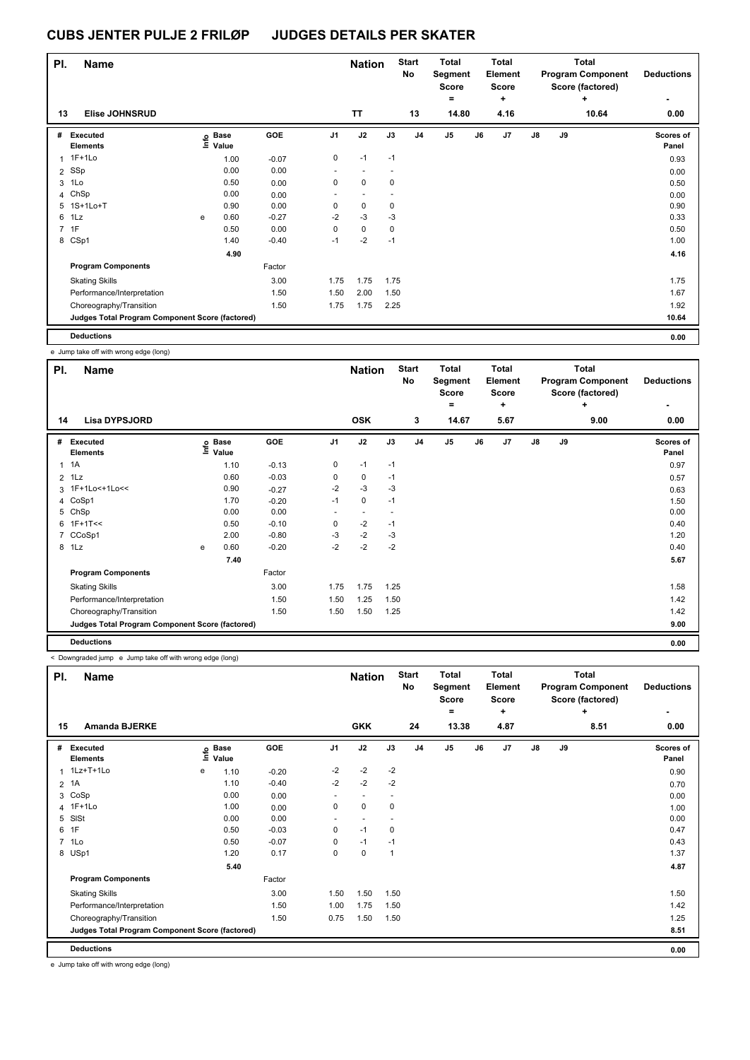| PI.            | <b>Name</b>                                     |   |                            |         |                          | <b>Nation</b>            |      | <b>Start</b><br>No | <b>Total</b><br>Segment<br><b>Score</b><br>۰ |    | <b>Total</b><br>Element<br><b>Score</b><br>٠ |               |    | <b>Total</b><br><b>Program Component</b><br>Score (factored)<br>٠ | <b>Deductions</b><br>۰ |
|----------------|-------------------------------------------------|---|----------------------------|---------|--------------------------|--------------------------|------|--------------------|----------------------------------------------|----|----------------------------------------------|---------------|----|-------------------------------------------------------------------|------------------------|
| 13             | <b>Elise JOHNSRUD</b>                           |   |                            |         |                          | <b>TT</b>                |      | 13                 | 14.80                                        |    | 4.16                                         |               |    | 10.64                                                             | 0.00                   |
| #              | Executed<br><b>Elements</b>                     |   | e Base<br>E Value<br>Value | GOE     | J <sub>1</sub>           | J2                       | J3   | J4                 | $\mathsf{J}5$                                | J6 | J7                                           | $\mathsf{J}8$ | J9 |                                                                   | Scores of<br>Panel     |
| 1              | $1F+1Lo$                                        |   | 1.00                       | $-0.07$ | 0                        | $-1$                     | $-1$ |                    |                                              |    |                                              |               |    |                                                                   | 0.93                   |
|                | 2 SSp                                           |   | 0.00                       | 0.00    | $\overline{\phantom{a}}$ | $\overline{\phantom{a}}$ |      |                    |                                              |    |                                              |               |    |                                                                   | 0.00                   |
| 3              | 1Lo                                             |   | 0.50                       | 0.00    | 0                        | 0                        | 0    |                    |                                              |    |                                              |               |    |                                                                   | 0.50                   |
|                | 4 ChSp                                          |   | 0.00                       | 0.00    |                          | $\overline{\phantom{a}}$ |      |                    |                                              |    |                                              |               |    |                                                                   | 0.00                   |
|                | 5 1S+1Lo+T                                      |   | 0.90                       | 0.00    | 0                        | 0                        | 0    |                    |                                              |    |                                              |               |    |                                                                   | 0.90                   |
| 6              | 1Lz                                             | e | 0.60                       | $-0.27$ | $-2$                     | $-3$                     | $-3$ |                    |                                              |    |                                              |               |    |                                                                   | 0.33                   |
| $\overline{7}$ | 1F                                              |   | 0.50                       | 0.00    | 0                        | $\mathbf 0$              | 0    |                    |                                              |    |                                              |               |    |                                                                   | 0.50                   |
|                | 8 CSp1                                          |   | 1.40                       | $-0.40$ | $-1$                     | $-2$                     | $-1$ |                    |                                              |    |                                              |               |    |                                                                   | 1.00                   |
|                |                                                 |   | 4.90                       |         |                          |                          |      |                    |                                              |    |                                              |               |    |                                                                   | 4.16                   |
|                | <b>Program Components</b>                       |   |                            | Factor  |                          |                          |      |                    |                                              |    |                                              |               |    |                                                                   |                        |
|                | <b>Skating Skills</b>                           |   |                            | 3.00    | 1.75                     | 1.75                     | 1.75 |                    |                                              |    |                                              |               |    |                                                                   | 1.75                   |
|                | Performance/Interpretation                      |   |                            | 1.50    | 1.50                     | 2.00                     | 1.50 |                    |                                              |    |                                              |               |    |                                                                   | 1.67                   |
|                | Choreography/Transition                         |   |                            | 1.50    | 1.75                     | 1.75                     | 2.25 |                    |                                              |    |                                              |               |    |                                                                   | 1.92                   |
|                | Judges Total Program Component Score (factored) |   |                            |         |                          |                          |      |                    |                                              |    |                                              |               |    |                                                                   | 10.64                  |
|                | <b>Deductions</b>                               |   |                            |         |                          |                          |      |                    |                                              |    |                                              |               |    |                                                                   | 0.00                   |

e Jump take off with wrong edge (long)

| PI. | <b>Name</b>                                     |   |                            |         |                | <b>Nation</b>            |      | <b>Start</b><br>No | <b>Total</b><br>Segment<br><b>Score</b><br>= |    | <b>Total</b><br>Element<br><b>Score</b><br>٠ |               |    | <b>Total</b><br><b>Program Component</b><br>Score (factored)<br>÷ | <b>Deductions</b>  |
|-----|-------------------------------------------------|---|----------------------------|---------|----------------|--------------------------|------|--------------------|----------------------------------------------|----|----------------------------------------------|---------------|----|-------------------------------------------------------------------|--------------------|
| 14  | <b>Lisa DYPSJORD</b>                            |   |                            |         |                | <b>OSK</b>               |      | 3                  | 14.67                                        |    | 5.67                                         |               |    | 9.00                                                              | 0.00               |
| #   | Executed<br><b>Elements</b>                     |   | e Base<br>E Value<br>Value | GOE     | J <sub>1</sub> | J2                       | J3   | J <sub>4</sub>     | J <sub>5</sub>                               | J6 | J7                                           | $\mathsf{J}8$ | J9 |                                                                   | Scores of<br>Panel |
|     | $1 \t1A$                                        |   | 1.10                       | $-0.13$ | 0              | $-1$                     | $-1$ |                    |                                              |    |                                              |               |    |                                                                   | 0.97               |
|     | $2$ 1Lz                                         |   | 0.60                       | $-0.03$ | 0              | $\mathbf 0$              | $-1$ |                    |                                              |    |                                              |               |    |                                                                   | 0.57               |
|     | 3 1F+1Lo<+1Lo<<                                 |   | 0.90                       | $-0.27$ | -2             | -3                       | -3   |                    |                                              |    |                                              |               |    |                                                                   | 0.63               |
|     | 4 CoSp1                                         |   | 1.70                       | $-0.20$ | $-1$           | $\mathbf 0$              | $-1$ |                    |                                              |    |                                              |               |    |                                                                   | 1.50               |
|     | 5 ChSp                                          |   | 0.00                       | 0.00    | ٠              | $\overline{\phantom{a}}$ |      |                    |                                              |    |                                              |               |    |                                                                   | 0.00               |
|     | $6$ 1F+1T<<                                     |   | 0.50                       | $-0.10$ | 0              | $-2$                     | $-1$ |                    |                                              |    |                                              |               |    |                                                                   | 0.40               |
|     | 7 CCoSp1                                        |   | 2.00                       | $-0.80$ | $-3$           | $-2$                     | -3   |                    |                                              |    |                                              |               |    |                                                                   | 1.20               |
|     | 8 1Lz                                           | e | 0.60                       | $-0.20$ | $-2$           | $-2$                     | $-2$ |                    |                                              |    |                                              |               |    |                                                                   | 0.40               |
|     |                                                 |   | 7.40                       |         |                |                          |      |                    |                                              |    |                                              |               |    |                                                                   | 5.67               |
|     | <b>Program Components</b>                       |   |                            | Factor  |                |                          |      |                    |                                              |    |                                              |               |    |                                                                   |                    |
|     | <b>Skating Skills</b>                           |   |                            | 3.00    | 1.75           | 1.75                     | 1.25 |                    |                                              |    |                                              |               |    |                                                                   | 1.58               |
|     | Performance/Interpretation                      |   |                            | 1.50    | 1.50           | 1.25                     | 1.50 |                    |                                              |    |                                              |               |    |                                                                   | 1.42               |
|     | Choreography/Transition                         |   |                            | 1.50    | 1.50           | 1.50                     | 1.25 |                    |                                              |    |                                              |               |    |                                                                   | 1.42               |
|     | Judges Total Program Component Score (factored) |   |                            |         |                |                          |      |                    |                                              |    |                                              |               |    |                                                                   | 9.00               |
|     | <b>Deductions</b>                               |   |                            |         |                |                          |      |                    |                                              |    |                                              |               |    |                                                                   | 0.00               |

< Downgraded jump e Jump take off with wrong edge (long)

| PI.            | <b>Name</b>                                     |      |                      |            |                          | <b>Nation</b> |             | <b>Start</b><br><b>No</b> | <b>Total</b><br>Segment<br><b>Score</b><br>۰ |    | <b>Total</b><br>Element<br>Score<br>٠ |               |    | Total<br><b>Program Component</b><br>Score (factored)<br>÷ | <b>Deductions</b><br>۰ |
|----------------|-------------------------------------------------|------|----------------------|------------|--------------------------|---------------|-------------|---------------------------|----------------------------------------------|----|---------------------------------------|---------------|----|------------------------------------------------------------|------------------------|
| 15             | <b>Amanda BJERKE</b>                            |      |                      |            |                          | <b>GKK</b>    |             | 24                        | 13.38                                        |    | 4.87                                  |               |    | 8.51                                                       | 0.00                   |
| #              | Executed<br><b>Elements</b>                     | lnfo | <b>Base</b><br>Value | <b>GOE</b> | J <sub>1</sub>           | J2            | J3          | J <sub>4</sub>            | J <sub>5</sub>                               | J6 | J7                                    | $\mathsf{J}8$ | J9 |                                                            | Scores of<br>Panel     |
| 1              | 1Lz+T+1Lo                                       | е    | 1.10                 | $-0.20$    | $-2$                     | $-2$          | $-2$        |                           |                                              |    |                                       |               |    |                                                            | 0.90                   |
| $\overline{2}$ | 1A                                              |      | 1.10                 | $-0.40$    | $-2$                     | $-2$          | $-2$        |                           |                                              |    |                                       |               |    |                                                            | 0.70                   |
|                | 3 CoSp                                          |      | 0.00                 | 0.00       | ٠                        | ٠             |             |                           |                                              |    |                                       |               |    |                                                            | 0.00                   |
|                | 4 1F+1Lo                                        |      | 1.00                 | 0.00       | 0                        | $\mathbf 0$   | 0           |                           |                                              |    |                                       |               |    |                                                            | 1.00                   |
|                | 5 SISt                                          |      | 0.00                 | 0.00       | $\overline{\phantom{a}}$ |               |             |                           |                                              |    |                                       |               |    |                                                            | 0.00                   |
| 6              | 1F                                              |      | 0.50                 | $-0.03$    | 0                        | $-1$          | 0           |                           |                                              |    |                                       |               |    |                                                            | 0.47                   |
|                | 7 1Lo                                           |      | 0.50                 | $-0.07$    | $\Omega$                 | $-1$          | $-1$        |                           |                                              |    |                                       |               |    |                                                            | 0.43                   |
|                | 8 USp1                                          |      | 1.20                 | 0.17       | 0                        | $\pmb{0}$     | $\mathbf 1$ |                           |                                              |    |                                       |               |    |                                                            | 1.37                   |
|                |                                                 |      | 5.40                 |            |                          |               |             |                           |                                              |    |                                       |               |    |                                                            | 4.87                   |
|                | <b>Program Components</b>                       |      |                      | Factor     |                          |               |             |                           |                                              |    |                                       |               |    |                                                            |                        |
|                | <b>Skating Skills</b>                           |      |                      | 3.00       | 1.50                     | 1.50          | 1.50        |                           |                                              |    |                                       |               |    |                                                            | 1.50                   |
|                | Performance/Interpretation                      |      |                      | 1.50       | 1.00                     | 1.75          | 1.50        |                           |                                              |    |                                       |               |    |                                                            | 1.42                   |
|                | Choreography/Transition                         |      |                      | 1.50       | 0.75                     | 1.50          | 1.50        |                           |                                              |    |                                       |               |    |                                                            | 1.25                   |
|                | Judges Total Program Component Score (factored) |      |                      |            |                          |               |             |                           |                                              |    |                                       |               |    |                                                            | 8.51                   |
|                | <b>Deductions</b>                               |      |                      |            |                          |               |             |                           |                                              |    |                                       |               |    |                                                            | 0.00                   |

e Jump take off with wrong edge (long)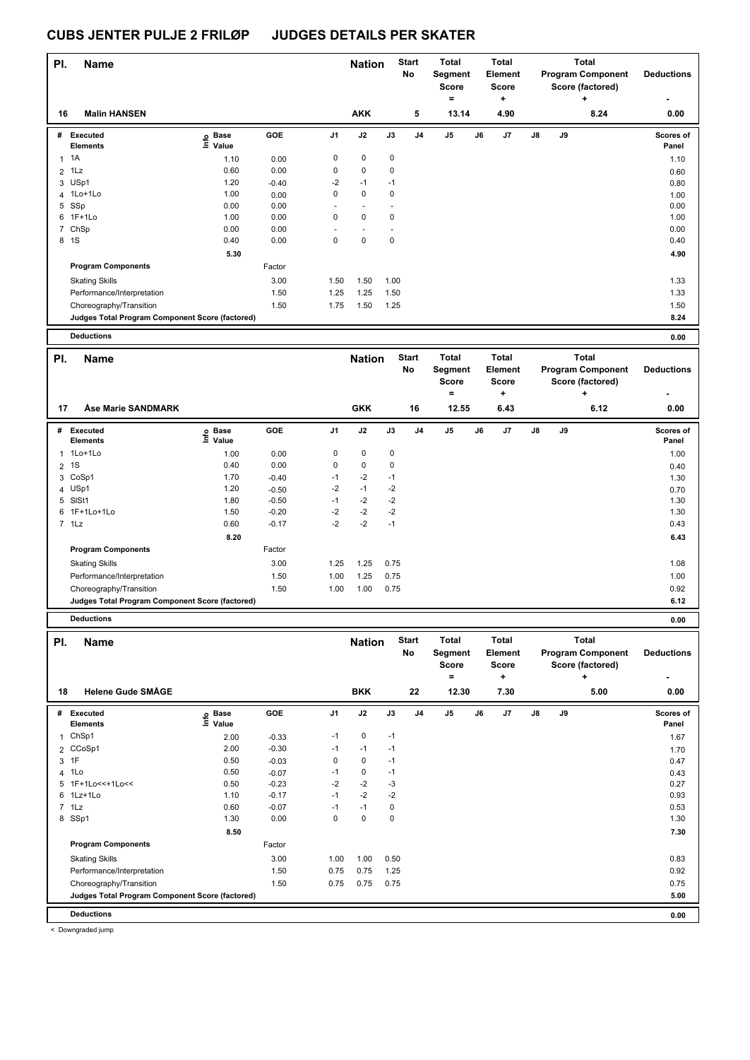| PI.            | <b>Name</b>                                     |                                                                       |                    |              | <b>Nation</b>     |               | <b>Start</b><br>No | <b>Total</b><br>Segment |    | <b>Total</b><br>Element |    |    | <b>Total</b><br><b>Program Component</b> | <b>Deductions</b> |
|----------------|-------------------------------------------------|-----------------------------------------------------------------------|--------------------|--------------|-------------------|---------------|--------------------|-------------------------|----|-------------------------|----|----|------------------------------------------|-------------------|
|                |                                                 |                                                                       |                    |              |                   |               |                    | <b>Score</b>            |    | <b>Score</b>            |    |    | Score (factored)                         |                   |
|                |                                                 |                                                                       |                    |              |                   |               |                    | $=$                     |    | ÷                       |    |    | $\ddot{}$                                |                   |
| 16             | <b>Malin HANSEN</b>                             |                                                                       |                    |              | <b>AKK</b>        |               | 5                  | 13.14                   |    | 4.90                    |    |    | 8.24                                     | 0.00              |
|                | # Executed                                      | e Base<br>⊑ Value                                                     | GOE                | J1           | J2                | J3            | J <sub>4</sub>     | J5                      | J6 | J7                      | J8 | J9 |                                          | Scores of         |
|                | <b>Elements</b>                                 |                                                                       |                    |              |                   |               |                    |                         |    |                         |    |    |                                          | Panel             |
|                | 1 1 A                                           | 1.10                                                                  | 0.00               | 0            | $\pmb{0}$         | 0             |                    |                         |    |                         |    |    |                                          | 1.10              |
| 2              | 1Lz                                             | 0.60                                                                  | 0.00               | 0            | $\pmb{0}$         | 0             |                    |                         |    |                         |    |    |                                          | 0.60              |
|                | 3 USp1<br>1Lo+1Lo                               | 1.20<br>1.00                                                          | $-0.40$            | -2<br>0      | $-1$<br>$\pmb{0}$ | $-1$<br>0     |                    |                         |    |                         |    |    |                                          | 0.80              |
| 4              | 5 SSp                                           | 0.00                                                                  | 0.00<br>0.00       | ÷,           | $\overline{a}$    | ÷,            |                    |                         |    |                         |    |    |                                          | 1.00<br>0.00      |
|                | 6 1F+1Lo                                        | 1.00                                                                  | 0.00               | 0            | 0                 | 0             |                    |                         |    |                         |    |    |                                          | 1.00              |
|                | 7 ChSp                                          | 0.00                                                                  | 0.00               |              | L,                | Ĭ.            |                    |                         |    |                         |    |    |                                          | 0.00              |
|                | 8 1S                                            | 0.40                                                                  | 0.00               | 0            | $\pmb{0}$         | $\pmb{0}$     |                    |                         |    |                         |    |    |                                          | 0.40              |
|                |                                                 | 5.30                                                                  |                    |              |                   |               |                    |                         |    |                         |    |    |                                          | 4.90              |
|                | <b>Program Components</b>                       |                                                                       | Factor             |              |                   |               |                    |                         |    |                         |    |    |                                          |                   |
|                | <b>Skating Skills</b>                           |                                                                       | 3.00               | 1.50         | 1.50              | 1.00          |                    |                         |    |                         |    |    |                                          | 1.33              |
|                | Performance/Interpretation                      |                                                                       | 1.50               | 1.25         | 1.25              | 1.50          |                    |                         |    |                         |    |    |                                          | 1.33              |
|                | Choreography/Transition                         |                                                                       | 1.50               | 1.75         | 1.50              | 1.25          |                    |                         |    |                         |    |    |                                          | 1.50              |
|                | Judges Total Program Component Score (factored) |                                                                       |                    |              |                   |               |                    |                         |    |                         |    |    |                                          | 8.24              |
|                |                                                 |                                                                       |                    |              |                   |               |                    |                         |    |                         |    |    |                                          |                   |
|                | <b>Deductions</b>                               |                                                                       |                    |              |                   |               |                    |                         |    |                         |    |    |                                          | 0.00              |
| PI.            | <b>Name</b>                                     |                                                                       |                    |              | <b>Nation</b>     |               | <b>Start</b>       | <b>Total</b>            |    | <b>Total</b>            |    |    | <b>Total</b>                             |                   |
|                |                                                 |                                                                       |                    |              |                   |               | No                 | Segment                 |    | Element                 |    |    | <b>Program Component</b>                 | <b>Deductions</b> |
|                |                                                 |                                                                       |                    |              |                   |               |                    | <b>Score</b>            |    | <b>Score</b>            |    |    | Score (factored)                         |                   |
|                |                                                 |                                                                       |                    |              |                   |               |                    | Ξ                       |    | +                       |    |    | +                                        |                   |
| 17             | Åse Marie SANDMARK                              |                                                                       |                    |              | <b>GKK</b>        |               | 16                 | 12.55                   |    | 6.43                    |    |    | 6.12                                     | 0.00              |
|                | # Executed                                      |                                                                       | GOE                | J1           | J2                | J3            | J <sub>4</sub>     | J5                      | J6 | J7                      | J8 | J9 |                                          | Scores of         |
|                | Elements                                        | e Base<br>⊑ Value                                                     |                    |              |                   |               |                    |                         |    |                         |    |    |                                          | Panel             |
|                | 1 1Lo+1Lo                                       | 1.00                                                                  | 0.00               | 0            | $\pmb{0}$         | 0             |                    |                         |    |                         |    |    |                                          | 1.00              |
| $\overline{2}$ | 1S                                              | 0.40                                                                  | 0.00               | 0            | $\pmb{0}$         | 0             |                    |                         |    |                         |    |    |                                          | 0.40              |
| 3              | CoSp1                                           | 1.70                                                                  | $-0.40$            | -1           | $-2$              | $-1$          |                    |                         |    |                         |    |    |                                          | 1.30              |
| 4              | USp1                                            | 1.20                                                                  | $-0.50$            | -2           | $-1$              | $-2$          |                    |                         |    |                         |    |    |                                          | 0.70              |
|                | 5 SISt1                                         | 1.80                                                                  | $-0.50$            | $-1$         | $-2$              | $-2$          |                    |                         |    |                         |    |    |                                          | 1.30              |
|                | 6 1F+1Lo+1Lo                                    | 1.50                                                                  | $-0.20$            | $-2$         | $-2$              | $-2$          |                    |                         |    |                         |    |    |                                          | 1.30              |
|                | $7$ 1 Lz                                        | 0.60                                                                  | $-0.17$            | $-2$         | $-2$              | $-1$          |                    |                         |    |                         |    |    |                                          | 0.43              |
|                |                                                 | 8.20                                                                  |                    |              |                   |               |                    |                         |    |                         |    |    |                                          | 6.43              |
|                | <b>Program Components</b>                       |                                                                       | Factor             |              |                   |               |                    |                         |    |                         |    |    |                                          |                   |
|                | <b>Skating Skills</b>                           |                                                                       | 3.00               | 1.25         | 1.25              | 0.75          |                    |                         |    |                         |    |    |                                          | 1.08              |
|                | Performance/Interpretation                      |                                                                       | 1.50               | 1.00         | 1.25              | 0.75          |                    |                         |    |                         |    |    |                                          | 1.00              |
|                | Choreography/Transition                         |                                                                       | 1.50               | 1.00         | 1.00              | 0.75          |                    |                         |    |                         |    |    |                                          | 0.92              |
|                | Judges Total Program Component Score (factored) |                                                                       |                    |              |                   |               |                    |                         |    |                         |    |    |                                          | 6.12              |
|                | <b>Deductions</b>                               |                                                                       |                    |              |                   |               |                    |                         |    |                         |    |    |                                          | 0.00              |
|                |                                                 |                                                                       |                    |              |                   |               | <b>Start</b>       | Total                   |    | <b>Total</b>            |    |    | Total                                    |                   |
| PI.            | Name                                            |                                                                       |                    |              | <b>Nation</b>     |               | No                 |                         |    | Element                 |    |    | <b>Program Component</b>                 | <b>Deductions</b> |
|                |                                                 |                                                                       |                    |              |                   |               |                    | Segment<br>Score        |    | <b>Score</b>            |    |    | Score (factored)                         |                   |
|                |                                                 |                                                                       |                    |              |                   |               |                    | $=$                     |    | $\ddot{}$               |    |    | $\ddot{}$                                |                   |
| 18             | <b>Helene Gude SMÅGE</b>                        |                                                                       |                    |              | <b>BKK</b>        |               | 22                 | 12.30                   |    | 7.30                    |    |    | 5.00                                     | 0.00              |
|                |                                                 |                                                                       |                    |              |                   |               |                    |                         |    |                         |    |    |                                          |                   |
|                | # Executed                                      | $\overset{\circ}{\text{E}}$ Base<br>$\overset{\circ}{\text{E}}$ Value | GOE                | J1           | J2                | $\mathsf{J3}$ | J4                 | J5                      | J6 | J7                      | J8 | J9 |                                          | Scores of         |
|                | Elements                                        |                                                                       |                    |              |                   |               |                    |                         |    |                         |    |    |                                          | Panel             |
|                | 1 ChSp1                                         | 2.00                                                                  | $-0.33$            | $-1$         | $\pmb{0}$         | $-1$          |                    |                         |    |                         |    |    |                                          | 1.67              |
|                | 2 CCoSp1                                        | 2.00                                                                  | $-0.30$            | $-1$         | $-1$              | $-1$          |                    |                         |    |                         |    |    |                                          | 1.70              |
|                | 3 1F                                            | 0.50                                                                  | $-0.03$            | 0            | $\pmb{0}$         | $-1$          |                    |                         |    |                         |    |    |                                          | 0.47              |
|                | 4 1Lo<br>5 1F+1Lo<<+1Lo<<                       | 0.50<br>0.50                                                          | $-0.07$<br>$-0.23$ | $-1$<br>$-2$ | $\pmb{0}$<br>$-2$ | $-1$<br>$-3$  |                    |                         |    |                         |    |    |                                          | 0.43<br>0.27      |
|                | 6 1Lz+1Lo                                       | 1.10                                                                  | $-0.17$            | $-1$         | $-2$              | $-2$          |                    |                         |    |                         |    |    |                                          | 0.93              |
|                | $7$ 1 Lz                                        | 0.60                                                                  | $-0.07$            | -1           | $-1$              | 0             |                    |                         |    |                         |    |    |                                          | 0.53              |
|                | 8 SSp1                                          | 1.30                                                                  | 0.00               | 0            | 0                 | 0             |                    |                         |    |                         |    |    |                                          | 1.30              |
|                |                                                 | 8.50                                                                  |                    |              |                   |               |                    |                         |    |                         |    |    |                                          | 7.30              |

Skating Skills 1.00 1.00 0.50 3.00 0.83

Performance/Interpretation 1.50 0.75 0.75 1.25 0.92 Choreography/Transition 1.50 0.75 0.75 0.75 0.75

**Deductions 0.00 Judges Total Program Component Score (factored) 5.00**

Factor

< Downgraded jump

**Program Components**